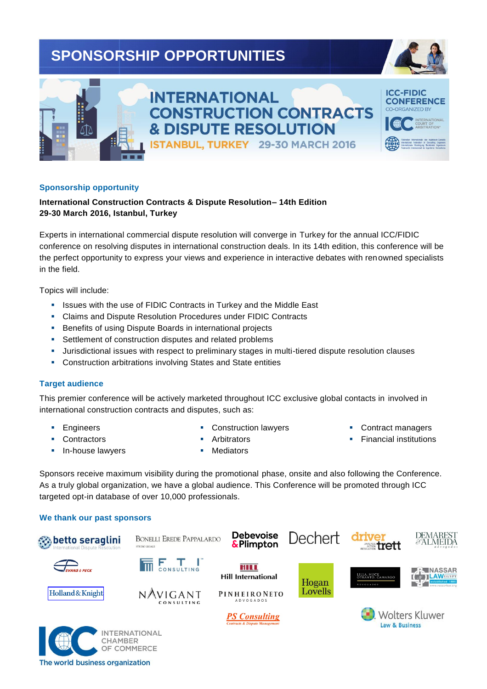# **SPONSORSHIP OPPORTUNITIES**





## **INTERNATIONAL CONSTRUCTION CONTRACTS & DISPUTE RESOLUTION** ISTANBUL, TURKEY 29-30 MARCH 2016



#### **Sponsorship opportunity**

### **International Construction Contracts & Dispute Resolution– 14th Edition 29-30 March 2016, Istanbul, Turkey**

Experts in international commercial dispute resolution will converge in Turkey for the annual ICC/FIDIC conference on resolving disputes in international construction deals. In its 14th edition, this conference will be the perfect opportunity to express your views and experience in interactive debates with renowned specialists in the field.

Topics will include:

- **EXECT:** Issues with the use of FIDIC Contracts in Turkey and the Middle East
- Claims and Dispute Resolution Procedures under FIDIC Contracts
- **Benefits of using Dispute Boards in international projects**
- **Settlement of construction disputes and related problems**
- Jurisdictional issues with respect to preliminary stages in multi-tiered dispute resolution clauses
- Construction arbitrations involving States and State entities

#### **Target audience**

This premier conference will be actively marketed throughout ICC exclusive global contacts in involved in international construction contracts and disputes, such as:

**Engineers Contractors** 

- **Construction lawyers**
- Contract managers
- **Financial institutions**

In-house lawyers

- **Arbitrators**
- Mediators

Sponsors receive maximum visibility during the promotional phase, onsite and also following the Conference. As a truly global organization, we have a global audience. This Conference will be promoted through ICC targeted opt-in database of over 10,000 professionals.

#### **We thank our past sponsors**



The world business organization